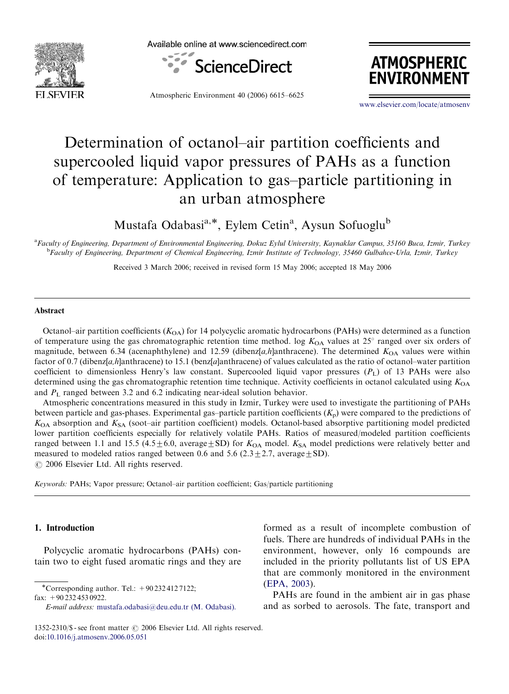



Atmospheric Environment 40 (2006) 6615–6625



<www.elsevier.com/locate/atmosenv>

# Determination of octanol–air partition coefficients and supercooled liquid vapor pressures of PAHs as a function of temperature: Application to gas–particle partitioning in an urban atmosphere

Mustafa Odabasi<sup>a,\*</sup>, Eylem Cetin<sup>a</sup>, Aysun Sofuoglu<sup>b</sup>

a Faculty of Engineering, Department of Environmental Engineering, Dokuz Eylul University, Kaynaklar Campus, 35160 Buca, Izmir, Turkey **bFaculty of Engineering, Department of Chemical Engineering, Izmir Institute of Technology, 35460 Gulbahce-Urla, Izmir, Turkey** 

Received 3 March 2006; received in revised form 15 May 2006; accepted 18 May 2006

#### Abstract

Octanol–air partition coefficients  $(K_{OA})$  for 14 polycyclic aromatic hydrocarbons (PAHs) were determined as a function of temperature using the gas chromatographic retention time method. log  $K_{OA}$  values at  $25^\circ$  ranged over six orders of magnitude, between 6.34 (acenaphthylene) and 12.59 (dibenz[a,h]anthracene). The determined  $K_{OA}$  values were within factor of 0.7 (dibenz[a,h]anthracene) to 15.1 (benz[a]anthracene) of values calculated as the ratio of octanol–water partition coefficient to dimensionless Henry's law constant. Supercooled liquid vapor pressures  $(P_1)$  of 13 PAHs were also determined using the gas chromatographic retention time technique. Activity coefficients in octanol calculated using  $K_{OA}$ and  $P<sub>L</sub>$  ranged between 3.2 and 6.2 indicating near-ideal solution behavior.

Atmospheric concentrations measured in this study in Izmir, Turkey were used to investigate the partitioning of PAHs between particle and gas-phases. Experimental gas-particle partition coefficients  $(K_p)$  were compared to the predictions of  $K_{\text{OA}}$  absorption and  $K_{\text{SA}}$  (soot–air partition coefficient) models. Octanol-based absorptive partitioning model predicted lower partition coefficients especially for relatively volatile PAHs. Ratios of measured/modeled partition coefficients ranged between 1.1 and 15.5 (4.5 $\pm$ 6.0, average $\pm$ SD) for  $K_{OA}$  model.  $K_{SA}$  model predictions were relatively better and measured to modeled ratios ranged between 0.6 and 5.6 ( $2.3 \pm 2.7$ , average  $\pm$  SD).  $\odot$  2006 Elsevier Ltd. All rights reserved.

Keywords: PAHs; Vapor pressure; Octanol–air partition coefficient; Gas/particle partitioning

#### 1. Introduction

Polycyclic aromatic hydrocarbons (PAHs) contain two to eight fused aromatic rings and they are

fax: +90 232 453 0922.

E-mail address: [mustafa.odabasi@deu.edu.tr \(M. Odabasi\).](mailto:mustafa.odabasi@deu.edu.tr)

formed as a result of incomplete combustion of fuels. There are hundreds of individual PAHs in the environment, however, only 16 compounds are included in the priority pollutants list of US EPA that are commonly monitored in the environment [\(EPA, 2003\)](#page-9-0).

PAHs are found in the ambient air in gas phase and as sorbed to aerosols. The fate, transport and

<sup>\*</sup>Corresponding author. Tel.:  $+90\,232\,412\,7122$ ;

<sup>1352-2310/\$ -</sup> see front matter  $\odot$  2006 Elsevier Ltd. All rights reserved. doi:[10.1016/j.atmosenv.2006.05.051](dx.doi.org/10.1016/j.atmosenv.2006.05.051)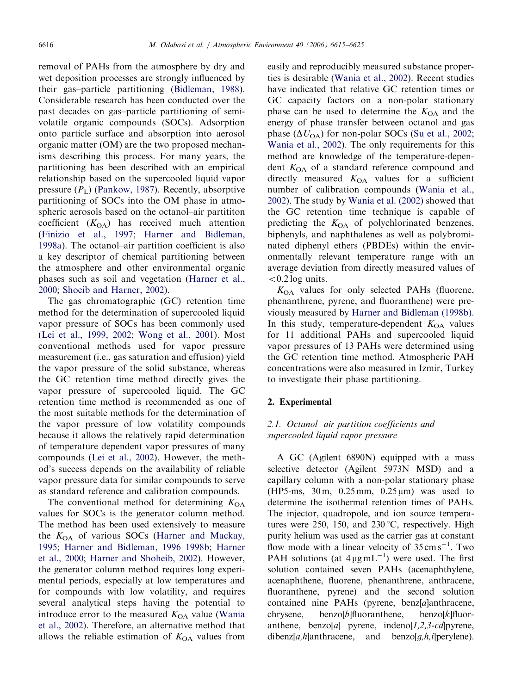removal of PAHs from the atmosphere by dry and wet deposition processes are strongly influenced by their gas–particle partitioning [\(Bidleman, 1988](#page-9-0)). Considerable research has been conducted over the past decades on gas–particle partitioning of semivolatile organic compounds (SOCs). Adsorption onto particle surface and absorption into aerosol organic matter (OM) are the two proposed mechanisms describing this process. For many years, the partitioning has been described with an empirical relationship based on the supercooled liquid vapor pressure  $(P<sub>L</sub>)$  [\(Pankow, 1987](#page-10-0)). Recently, absorptive partitioning of SOCs into the OM phase in atmospheric aerosols based on the octanol–air partititon coefficient  $(K<sub>OA</sub>)$  has received much attention ([Finizio et al., 1997](#page-9-0); [Harner and Bidleman,](#page-9-0) [1998a](#page-9-0)). The octanol–air partition coefficient is also a key descriptor of chemical partitioning between the atmosphere and other environmental organic phases such as soil and vegetation ([Harner et al.,](#page-9-0) [2000](#page-9-0); [Shoeib and Harner, 2002\)](#page-10-0).

The gas chromatographic (GC) retention time method for the determination of supercooled liquid vapor pressure of SOCs has been commonly used ([Lei et al., 1999, 2002;](#page-10-0) [Wong et al., 2001\)](#page-10-0). Most conventional methods used for vapor pressure measurement (i.e., gas saturation and effusion) yield the vapor pressure of the solid substance, whereas the GC retention time method directly gives the vapor pressure of supercooled liquid. The GC retention time method is recommended as one of the most suitable methods for the determination of the vapor pressure of low volatility compounds because it allows the relatively rapid determination of temperature dependent vapor pressures of many compounds [\(Lei et al., 2002\)](#page-10-0). However, the method's success depends on the availability of reliable vapor pressure data for similar compounds to serve as standard reference and calibration compounds.

The conventional method for determining  $K_{\text{OA}}$ values for SOCs is the generator column method. The method has been used extensively to measure the  $K_{OA}$  of various SOCs [\(Harner and Mackay,](#page-9-0) [1995](#page-9-0); [Harner and Bidleman, 1996 1998b;](#page-9-0) [Harner](#page-9-0) [et al., 2000](#page-9-0); [Harner and Shoheib, 2002](#page-9-0)). However, the generator column method requires long experimental periods, especially at low temperatures and for compounds with low volatility, and requires several analytical steps having the potential to introduce error to the measured  $K_{OA}$  value [\(Wania](#page-10-0) [et al., 2002\)](#page-10-0). Therefore, an alternative method that allows the reliable estimation of  $K_{OA}$  values from

easily and reproducibly measured substance properties is desirable ([Wania et al., 2002](#page-10-0)). Recent studies have indicated that relative GC retention times or GC capacity factors on a non-polar stationary phase can be used to determine the  $K_{OA}$  and the energy of phase transfer between octanol and gas phase  $(\Delta U_{\text{OA}})$  for non-polar SOCs ([Su et al., 2002;](#page-10-0) [Wania et al., 2002](#page-10-0)). The only requirements for this method are knowledge of the temperature-dependent  $K_{OA}$  of a standard reference compound and directly measured  $K_{OA}$  values for a sufficient number of calibration compounds [\(Wania et al.,](#page-10-0) [2002](#page-10-0)). The study by [Wania et al. \(2002\)](#page-10-0) showed that the GC retention time technique is capable of predicting the  $K_{OA}$  of polychlorinated benzenes, biphenyls, and naphthalenes as well as polybrominated diphenyl ethers (PBDEs) within the environmentally relevant temperature range with an average deviation from directly measured values of  $< 0.2$  log units.

 $K_{\text{OA}}$  values for only selected PAHs (fluorene, phenanthrene, pyrene, and fluoranthene) were previously measured by [Harner and Bidleman \(1998b\).](#page-9-0) In this study, temperature-dependent  $K_{OA}$  values for 11 additional PAHs and supercooled liquid vapor pressures of 13 PAHs were determined using the GC retention time method. Atmospheric PAH concentrations were also measured in Izmir, Turkey to investigate their phase partitioning.

## 2. Experimental

# 2.1. Octanol– air partition coefficients and supercooled liquid vapor pressure

A GC (Agilent 6890N) equipped with a mass selective detector (Agilent 5973N MSD) and a capillary column with a non-polar stationary phase (HP5-ms,  $30 \text{ m}$ ,  $0.25 \text{ mm}$ ,  $0.25 \text{ \mu m}$ ) was used to determine the isothermal retention times of PAHs. The injector, quadropole, and ion source temperatures were 250, 150, and 230  $\degree$ C, respectively. High purity helium was used as the carrier gas at constant flow mode with a linear velocity of  $35 \text{ cm s}^{-1}$ . Two PAH solutions (at  $4 \mu g m L^{-1}$ ) were used. The first solution contained seven PAHs (acenaphthylene, acenaphthene, fluorene, phenanthrene, anthracene, fluoranthene, pyrene) and the second solution contained nine PAHs (pyrene, benz[a]anthracene, chrysene, benzo[b]fluoranthene, benzo[k]fluoranthene, benzo[a] pyrene, indeno $[1,2,3-cd]$ pyrene, dibenz[a,h]anthracene, and benzo $[q, h, i]$ perylene).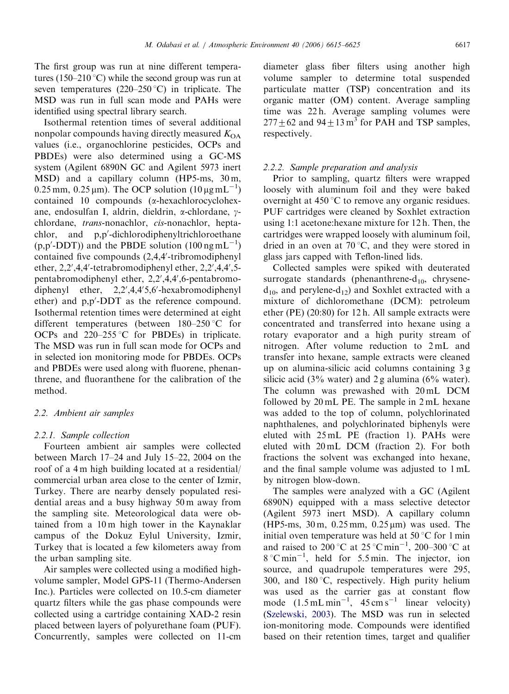The first group was run at nine different temperatures (150–210 °C) while the second group was run at seven temperatures (220–250 °C) in triplicate. The MSD was run in full scan mode and PAHs were identified using spectral library search.

Isothermal retention times of several additional nonpolar compounds having directly measured  $K_{OA}$ values (i.e., organochlorine pesticides, OCPs and PBDEs) were also determined using a GC-MS system (Agilent 6890N GC and Agilent 5973 inert MSD) and a capillary column (HP5-ms, 30m,  $0.25$  mm,  $0.25$  µm). The OCP solution  $(10 \,\text{\upmu g}\,\text{mL}^{-1})$ contained 10 compounds (a-hexachlorocyclohexane, endosulfan I, aldrin, dieldrin, a-chlordane, gchlordane, trans-nonachlor, cis-nonachlor, heptachlor, and p,p'-dichlorodiphenyltrichloroethane  $(p, p'$ -DDT)) and the PBDE solution  $(100 \text{ ng } \text{mL}^{-1})$ contained five compounds (2,4,4'-tribromodiphenyl ether, 2,2',4,4'-tetrabromodiphenyl ether, 2,2',4,4',5pentabromodiphenyl ether, 2,2',4,4',6-pentabromodiphenyl ether,  $2,2',4,4'5,6'$ -hexabromodiphenyl ether) and p,p'-DDT as the reference compound. Isothermal retention times were determined at eight different temperatures (between  $180-250$  °C for OCPs and  $220-255$  °C for PBDEs) in triplicate. The MSD was run in full scan mode for OCPs and in selected ion monitoring mode for PBDEs. OCPs and PBDEs were used along with fluorene, phenanthrene, and fluoranthene for the calibration of the method.

# 2.2. Ambient air samples

# 2.2.1. Sample collection

Fourteen ambient air samples were collected between March 17–24 and July 15–22, 2004 on the roof of a 4 m high building located at a residential/ commercial urban area close to the center of Izmir, Turkey. There are nearby densely populated residential areas and a busy highway 50 m away from the sampling site. Meteorological data were obtained from a 10 m high tower in the Kaynaklar campus of the Dokuz Eylul University, Izmir, Turkey that is located a few kilometers away from the urban sampling site.

Air samples were collected using a modified highvolume sampler, Model GPS-11 (Thermo-Andersen Inc.). Particles were collected on 10.5-cm diameter quartz filters while the gas phase compounds were collected using a cartridge containing XAD-2 resin placed between layers of polyurethane foam (PUF). Concurrently, samples were collected on 11-cm

diameter glass fiber filters using another high volume sampler to determine total suspended particulate matter (TSP) concentration and its organic matter (OM) content. Average sampling time was 22 h. Average sampling volumes were  $277+62$  and  $94+13 \text{ m}^3$  for PAH and TSP samples, respectively.

# 2.2.2. Sample preparation and analysis

Prior to sampling, quartz filters were wrapped loosely with aluminum foil and they were baked overnight at  $450^{\circ}$ C to remove any organic residues. PUF cartridges were cleaned by Soxhlet extraction using 1:1 acetone:hexane mixture for 12 h. Then, the cartridges were wrapped loosely with aluminum foil, dried in an oven at  $70^{\circ}$ C, and they were stored in glass jars capped with Teflon-lined lids.

Collected samples were spiked with deuterated surrogate standards (phenanthrene- $d_{10}$ , chrysene $d_{10}$ , and perylene- $d_{12}$ ) and Soxhlet extracted with a mixture of dichloromethane (DCM): petroleum ether (PE) (20:80) for 12 h. All sample extracts were concentrated and transferred into hexane using a rotary evaporator and a high purity stream of nitrogen. After volume reduction to 2 mL and transfer into hexane, sample extracts were cleaned up on alumina-silicic acid columns containing 3 g silicic acid (3% water) and 2 g alumina (6% water). The column was prewashed with 20 mL DCM followed by 20 mL PE. The sample in 2 mL hexane was added to the top of column, polychlorinated naphthalenes, and polychlorinated biphenyls were eluted with 25 mL PE (fraction 1). PAHs were eluted with 20 mL DCM (fraction 2). For both fractions the solvent was exchanged into hexane, and the final sample volume was adjusted to 1 mL by nitrogen blow-down.

The samples were analyzed with a GC (Agilent 6890N) equipped with a mass selective detector (Agilent 5973 inert MSD). A capillary column (HP5-ms, 30 m, 0.25 mm, 0.25 mm) was used. The initial oven temperature was held at 50  $\degree$ C for 1 min and raised to  $200^{\circ}$ C at  $25^{\circ}$ C min<sup>-1</sup>, 200-300 °C at  $8^{\circ}$ C min<sup>-1</sup>, held for 5.5 min. The injector, ion source, and quadrupole temperatures were 295, 300, and  $180^{\circ}$ C, respectively. High purity helium was used as the carrier gas at constant flow mode  $(1.5 \text{ mL min}^{-1}$ ,  $45 \text{ cm s}^{-1}$  linear velocity) [\(Szelewski, 2003\)](#page-10-0). The MSD was run in selected ion-monitoring mode. Compounds were identified based on their retention times, target and qualifier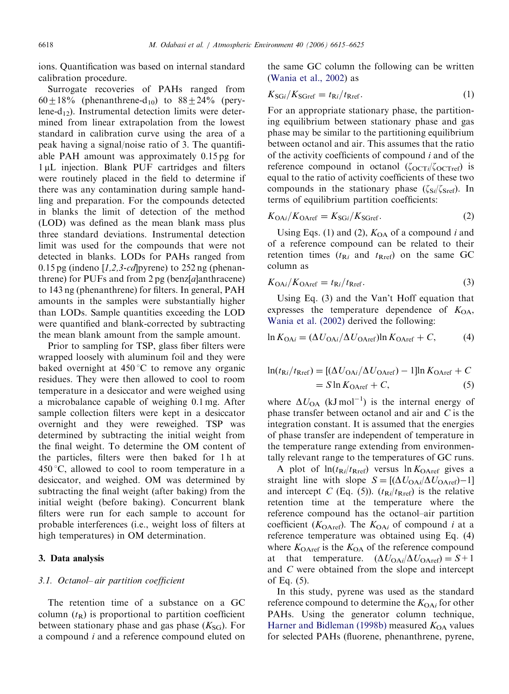ions. Quantification was based on internal standard calibration procedure.

Surrogate recoveries of PAHs ranged from  $60\pm18\%$  (phenanthrene-d<sub>10</sub>) to  $88\pm24\%$  (perylene- $d_{12}$ ). Instrumental detection limits were determined from linear extrapolation from the lowest standard in calibration curve using the area of a peak having a signal/noise ratio of 3. The quantifiable PAH amount was approximately 0.15 pg for 1 µL injection. Blank PUF cartridges and filters were routinely placed in the field to determine if there was any contamination during sample handling and preparation. For the compounds detected in blanks the limit of detection of the method (LOD) was defined as the mean blank mass plus three standard deviations. Instrumental detection limit was used for the compounds that were not detected in blanks. LODs for PAHs ranged from 0.15 pg (indeno  $[1,2,3-cd]$  pyrene) to 252 ng (phenanthrene) for PUFs and from  $2 \text{ pg}$  (benz[a]anthracene) to 143 ng (phenanthrene) for filters. In general, PAH amounts in the samples were substantially higher than LODs. Sample quantities exceeding the LOD were quantified and blank-corrected by subtracting the mean blank amount from the sample amount.

Prior to sampling for TSP, glass fiber filters were wrapped loosely with aluminum foil and they were baked overnight at  $450^{\circ}$ C to remove any organic residues. They were then allowed to cool to room temperature in a desiccator and were weighed using a microbalance capable of weighing 0.1 mg. After sample collection filters were kept in a desiccator overnight and they were reweighed. TSP was determined by subtracting the initial weight from the final weight. To determine the OM content of the particles, filters were then baked for 1 h at  $450^{\circ}$ C, allowed to cool to room temperature in a desiccator, and weighed. OM was determined by subtracting the final weight (after baking) from the initial weight (before baking). Concurrent blank filters were run for each sample to account for probable interferences (i.e., weight loss of filters at high temperatures) in OM determination.

### 3. Data analysis

## 3.1. Octanol– air partition coefficient

The retention time of a substance on a GC column  $(t_R)$  is proportional to partition coefficient between stationary phase and gas phase  $(K_{SG})$ . For a compound i and a reference compound eluted on

the same GC column the following can be written ([Wania et al., 2002](#page-10-0)) as

$$
K_{\text{SG}i}/K_{\text{SGref}} = t_{\text{R}i}/t_{\text{Rref}}.\tag{1}
$$

For an appropriate stationary phase, the partitioning equilibrium between stationary phase and gas phase may be similar to the partitioning equilibrium between octanol and air. This assumes that the ratio of the activity coefficients of compound  $i$  and of the reference compound in octanol  $(\zeta_{\text{OCT}i}/\zeta_{\text{OCT}ref})$  is equal to the ratio of activity coefficients of these two compounds in the stationary phase  $(\zeta_{\text{Si}}/\zeta_{\text{Sref}})$ . In terms of equilibrium partition coefficients:

$$
K_{\text{OA}i}/K_{\text{OA}ref} = K_{\text{SG}i}/K_{\text{SG}ref}.\tag{2}
$$

Using Eqs. (1) and (2),  $K_{OA}$  of a compound i and of a reference compound can be related to their retention times  $(t_{\text{R}i}$  and  $t_{\text{Rref}})$  on the same GC column as

$$
K_{\text{OA}i}/K_{\text{OA}ref} = t_{\text{R}i}/t_{\text{R}ref}.\tag{3}
$$

Using Eq. (3) and the Van't Hoff equation that expresses the temperature dependence of  $K_{OA}$ , [Wania et al. \(2002\)](#page-10-0) derived the following:

$$
\ln K_{\text{OA}i} = (\Delta U_{\text{OA}i}/\Delta U_{\text{OA}ref})\ln K_{\text{OA}ref} + C,\tag{4}
$$

$$
\ln(t_{\text{R}i}/t_{\text{Rref}}) = [(\Delta U_{\text{OA}i}/\Delta U_{\text{OAref}}) - 1]\ln K_{\text{OAref}} + C
$$
  
=  $S \ln K_{\text{OAref}} + C,$  (5)

where  $\Delta U_{\text{OA}}$  (kJ mol<sup>-1</sup>) is the internal energy of phase transfer between octanol and air and  $C$  is the integration constant. It is assumed that the energies of phase transfer are independent of temperature in the temperature range extending from environmentally relevant range to the temperatures of GC runs.

A plot of  $ln(t_{\text{R}i}/t_{\text{Rref}})$  versus  $ln K_{\text{OAref}}$  gives a straight line with slope  $S = [(\Delta U_{OA}/\Delta U_{OAref})-1]$ and intercept C (Eq. (5)).  $(t_{\text{R}i}/t_{\text{Rref}})$  is the relative retention time at the temperature where the reference compound has the octanol–air partition coefficient ( $K_{\text{OAref}}$ ). The  $K_{\text{OAi}}$  of compound i at a reference temperature was obtained using Eq. (4) where  $K_{\text{OAref}}$  is the  $K_{\text{OA}}$  of the reference compound at that temperature.  $(\Delta U_{OAi}/\Delta U_{OAref}) = S+1$ and C were obtained from the slope and intercept of Eq. (5).

In this study, pyrene was used as the standard reference compound to determine the  $K_{OAi}$  for other PAHs. Using the generator column technique, [Harner and Bidleman \(1998b\)](#page-9-0) measured  $K_{OA}$  values for selected PAHs (fluorene, phenanthrene, pyrene,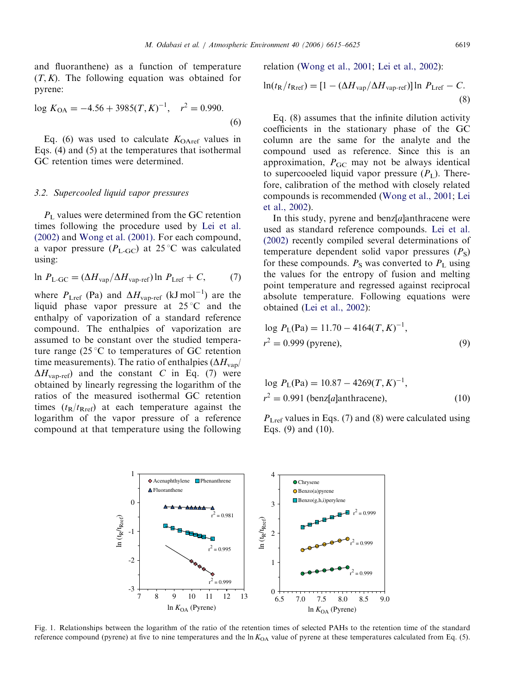<span id="page-4-0"></span>and fluoranthene) as a function of temperature  $(T, K)$ . The following equation was obtained for pyrene:

$$
\log K_{\text{OA}} = -4.56 + 3985(T, K)^{-1}, \quad r^2 = 0.990. \tag{6}
$$

Eq. (6) was used to calculate  $K_{OAref}$  values in Eqs. (4) and (5) at the temperatures that isothermal GC retention times were determined.

### 3.2. Supercooled liquid vapor pressures

 $P<sub>L</sub>$  values were determined from the GC retention times following the procedure used by [Lei et al.](#page-10-0) [\(2002\)](#page-10-0) and [Wong et al. \(2001\).](#page-10-0) For each compound, a vapor pressure  $(P_{L\text{-GC}})$  at 25 °C was calculated using:

$$
\ln P_{\text{L-GC}} = (\Delta H_{\text{vap}} / \Delta H_{\text{vap-ref}}) \ln P_{\text{Lref}} + C,\tag{7}
$$

where  $P_{\text{Lref}}$  (Pa) and  $\Delta H_{\text{vap-ref}}$  (kJ mol<sup>-1</sup>) are the liquid phase vapor pressure at  $25^{\circ}$ C and the enthalpy of vaporization of a standard reference compound. The enthalpies of vaporization are assumed to be constant over the studied temperature range (25 $\degree$ C to temperatures of GC retention time measurements). The ratio of enthalpies  $(\Delta H_{\text{van}})$  $\Delta H_{\text{vap-ref}}$  and the constant C in Eq. (7) were obtained by linearly regressing the logarithm of the ratios of the measured isothermal GC retention times  $(t_R/t_{Rref})$  at each temperature against the logarithm of the vapor pressure of a reference compound at that temperature using the following relation ([Wong et al., 2001](#page-10-0); [Lei et al., 2002\)](#page-10-0):

$$
\ln(t_{\rm R}/t_{\rm Rref}) = [1 - (\Delta H_{\rm vap}/\Delta H_{\rm vap-ref})] \ln P_{\rm Lref} - C.
$$
\n(8)

Eq. (8) assumes that the infinite dilution activity coefficients in the stationary phase of the GC column are the same for the analyte and the compound used as reference. Since this is an approximation,  $P_{GC}$  may not be always identical to supercooeled liquid vapor pressure  $(P_L)$ . Therefore, calibration of the method with closely related compounds is recommended [\(Wong et al., 2001;](#page-10-0) [Lei](#page-10-0) [et al., 2002](#page-10-0)).

In this study, pyrene and benz[a]anthracene were used as standard reference compounds. [Lei et al.](#page-10-0) [\(2002\)](#page-10-0) recently compiled several determinations of temperature dependent solid vapor pressures  $(P<sub>S</sub>)$ for these compounds.  $P<sub>S</sub>$  was converted to  $P<sub>L</sub>$  using the values for the entropy of fusion and melting point temperature and regressed against reciprocal absolute temperature. Following equations were obtained [\(Lei et al., 2002](#page-10-0)):

$$
\log P_{\rm L}(\text{Pa}) = 11.70 - 4164(T, K)^{-1},
$$
  
\n
$$
r^2 = 0.999 \text{ (pyrene)},
$$
\n(9)

log 
$$
P_L(\text{Pa}) = 10.87 - 4269(T, K)^{-1}
$$
,  
\n $r^2 = 0.991 \text{ (benz[a]anthracene)}$ , (10)

 $P_{\text{Lref}}$  values in Eqs. (7) and (8) were calculated using Eqs. (9) and (10).



Fig. 1. Relationships between the logarithm of the ratio of the retention times of selected PAHs to the retention time of the standard reference compound (pyrene) at five to nine temperatures and the  $\ln K_{OA}$  value of pyrene at these temperatures calculated from Eq. (5).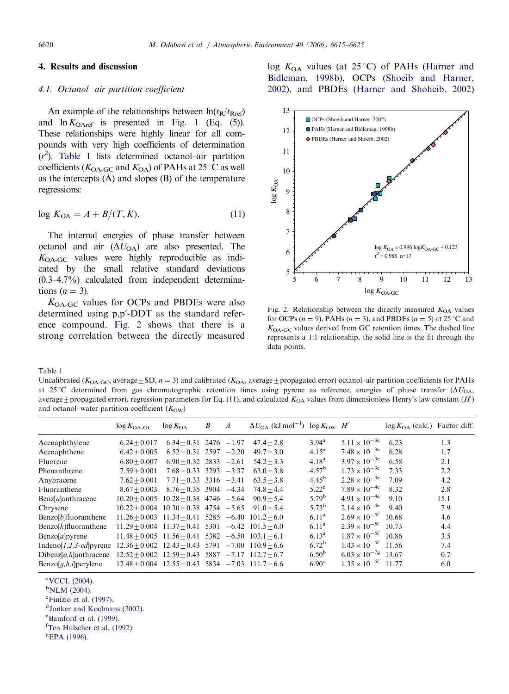## <span id="page-5-0"></span>4. Results and discussion

#### 4.1. Octanol– air partition coefficient

An example of the relationships between  $\ln(t_R/t_{Rref})$ and  $\ln K_{\text{OAref}}$  is presented in [Fig. 1](#page-4-0) (Eq. (5)). These relationships were highly linear for all compounds with very high coefficients of determination  $(r<sup>2</sup>)$ . Table 1 lists determined octanol–air partition coefficients ( $K_{\text{OA-GC}}$  and  $K_{\text{OA}}$ ) of PAHs at 25 °C as well as the intercepts (A) and slopes (B) of the temperature regressions:

$$
\log K_{\text{OA}} = A + B/(T, K). \tag{11}
$$

The internal energies of phase transfer between octanol and air  $(\Delta U_{\text{OA}})$  are also presented. The  $K_{\text{OA-GC}}$  values were highly reproducible as indicated by the small relative standard deviations (0.3–4.7%) calculated from independent determinations  $(n = 3)$ .

 $K_{\text{OA-GC}}$  values for OCPs and PBDEs were also determined using p,p'-DDT as the standard reference compound. Fig. 2 shows that there is a strong correlation between the directly measured log  $K_{OA}$  values (at 25 °C) of PAHs ([Harner and](#page-9-0) [Bidleman, 1998b](#page-9-0)), OCPs ([Shoeib and Harner,](#page-10-0) [2002](#page-10-0)), and PBDEs [\(Harner and Shoheib, 2002](#page-9-0))



Fig. 2. Relationship between the directly measured  $K_{OA}$  values for OCPs ( $n = 9$ ), PAHs ( $n = 3$ ), and PBDEs ( $n = 5$ ) at 25 °C and  $K_{\text{OA-GC}}$  values derived from GC retention times. The dashed line represents a 1:1 relationship, the solid line is the fit through the data points.

Table 1

Uncalibrated ( $K_{OA-GC}$ , average  $\pm SD$ ,  $n = 3$ ) and calibrated ( $K_{OA}$ , average  $\pm$  propagated error) octanol–air partition coefficients for PAHs at 25 °C determined from gas chromatographic retention times using pyrene as reference, energies of phase transfer ( $\Delta U_{\text{OA}}$ , average  $\pm$  propagated error), regression parameters for Eq. (11), and calculated  $K_{OA}$  values from dimensionless Henry's law constant (H') and octanol–water partition coefficient  $(K<sub>OW</sub>)$ 

|                                   | $\log K_{\text{OA-GC}}$                                     | $\log K_{\text{OA}}$        | B | $\boldsymbol{A}$ | $\Delta U_{\Omega A}$ (kJ mol <sup>-1</sup> ) $\log K_{\Omega W}$ H' |                   |                         | $\log K_{OA}$ (calc.) Factor diff. |      |
|-----------------------------------|-------------------------------------------------------------|-----------------------------|---|------------------|----------------------------------------------------------------------|-------------------|-------------------------|------------------------------------|------|
| Acenaphthylene                    | $6.24 + 0.017$                                              | $6.34 + 0.31$ 2476 $-1.97$  |   |                  | $47.4 + 2.8$                                                         | $3.94^{\rm a}$    | $5.11 \times 10^{-3e}$  | 6.23                               | 1.3  |
| Acenaphthene                      | $6.42 + 0.005$                                              | $6.52 + 0.31$ 2597 $-2.20$  |   |                  | $49.7 + 3.0$                                                         | $4.15^{\rm a}$    | $7.48 \times 10^{-36}$  | 6.28                               | 1.7  |
| Fluorene                          | $6.80 + 0.007$                                              | $6.90 + 0.32$ 2833 $-2.61$  |   |                  | $54.2 + 3.3$                                                         | $4.18^{a}$        | $3.97 \times 10^{-3e}$  | 6.58                               | 2.1  |
| Phenanthrene                      | $7.59 + 0.001$                                              | $7.68 + 0.33$ 3293 $-3.37$  |   |                  | $63.0 + 3.8$                                                         | 4.57 <sup>b</sup> | $1.73 \times 10^{-3e}$  | 7.33                               | 2.2  |
| Anyhracene                        | $7.62 + 0.001$                                              | $7.71 + 0.33$ 3316 $-3.41$  |   |                  | $63.5 + 3.8$                                                         | $4.45^{b}$        | $2.28 \times 10^{-3e}$  | 7.09                               | 4.2  |
| Fluoranthene                      | $8.67 + 0.003$                                              | $8.76 + 0.35$ 3904 -4.34    |   |                  | $74.8 + 4.4$                                                         | $5.22^{\circ}$    | $7.89 \times 10^{-4e}$  | 8.32                               | 2.8  |
| $Benz[a]$ anthracene              | $10.20 + 0.005$                                             | $10.28 + 0.38$ 4746 $-5.64$ |   |                  | $90.9 + 5.4$                                                         | $5.79^{b}$        | $4.91 \times 10^{-4e}$  | 9.10                               | 15.1 |
| Chrysene                          | $10.22 + 0.004$                                             | $10.30 + 0.38$ 4754 $-5.65$ |   |                  | $91.0 + 5.4$                                                         | $5.73^{b}$        | $2.14 \times 10^{-4e}$  | 9.40                               | 7.9  |
| Benzo[b]fluoranthene              | $11.26 + 0.003$ $11.34 + 0.41$ $5285$ $-6.40$ $101.2 + 6.0$ |                             |   |                  |                                                                      | 6.11 <sup>a</sup> | $2.69 \times 10^{-5}$   | 10.68                              | 4.6  |
| $Benzo[k]$ fluoranthene           | $11.29 + 0.004$ $11.37 + 0.41$ $5301$ $-6.42$ $101.5 + 6.0$ |                             |   |                  |                                                                      | 6.11 <sup>a</sup> | $2.39 \times 10^{-5}$   | 10.73                              | 4.4  |
| Benzo[a]pyrene                    | $11.48 + 0.005$ $11.56 + 0.41$ $5382$ $-6.50$ $103.1 + 6.1$ |                             |   |                  |                                                                      | $6.13^{\rm a}$    | $1.87 \times 10^{-5}$   | 10.86                              | 3.5  |
| Indeno[ $1,2,3$ -cd] pyrene       | $12.36 + 0.002$ $12.43 + 0.43$ $5791$ $-7.00$ $110.9 + 6.6$ |                             |   |                  |                                                                      | $6.72^b$          | $1.43 \times 10^{-5}$   | 11.56                              | 7.4  |
| Dibenz[ $a, h$ ]anthracene        | $12.52 + 0.002$ $12.59 + 0.43$ $5887$ $-7.17$ $112.7 + 6.7$ |                             |   |                  |                                                                      | $6.50^{b}$        | $6.03 \times 10^{-7}$ g | 13.67                              | 0.7  |
| $\text{Benzo}[q, h, i]$ per vlene | $12.48 + 0.004$ $12.55 + 0.43$ 5834 $-7.03$ $111.7 + 6.6$   |                             |   |                  |                                                                      | 6.90 <sup>d</sup> | $1.35 \times 10^{-5}$   | 11.77                              | 6.0  |

a [VCCL \(2004\).](#page-10-0)

 $$ 

<sup>c</sup>[Finizio et al. \(1997\).](#page-9-0)

d [Jonker and Koelmans \(2002\).](#page-10-0)

<sup>e</sup>[Bamford et al. \(1999\).](#page-9-0)

f [Ten Hulscher et al. \(1992\).](#page-10-0)

<sup>g</sup>[EPA \(1996\).](#page-9-0)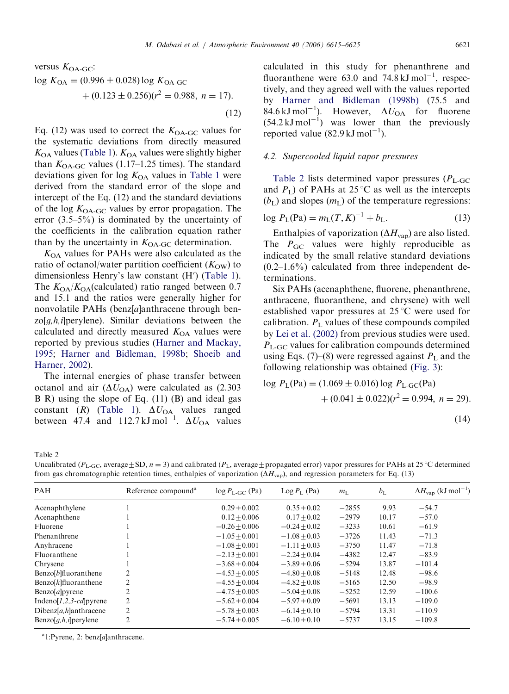<span id="page-6-0"></span>versus 
$$
K_{OA-GC}
$$
:  
\n
$$
\log K_{OA} = (0.996 \pm 0.028) \log K_{OA-GC}
$$
\n
$$
+ (0.123 \pm 0.256)(r^2 = 0.988, n = 17).
$$
\n(12)

Eq. (12) was used to correct the  $K_{OA-GC}$  values for the systematic deviations from directly measured  $K_{\text{OA}}$  values [\(Table 1](#page-5-0)).  $K_{\text{OA}}$  values were slightly higher than  $K_{\text{OA-GC}}$  values (1.17–1.25 times). The standard deviations given for  $log K<sub>OA</sub>$  values in [Table 1](#page-5-0) were derived from the standard error of the slope and intercept of the Eq. (12) and the standard deviations of the log  $K_{\text{OA-GC}}$  values by error propagation. The error (3.5–5%) is dominated by the uncertainty of the coefficients in the calibration equation rather than by the uncertainty in  $K_{OA-GC}$  determination.

 $K<sub>OA</sub>$  values for PAHs were also calculated as the ratio of octanol/water partition coefficient  $(K<sub>OW</sub>)$  to dimensionless Henry's law constant (H') [\(Table 1\)](#page-5-0). The  $K_{OA}/K_{OA}$ (calculated) ratio ranged between 0.7 and 15.1 and the ratios were generally higher for nonvolatile PAHs (benz[a]anthracene through ben $z \circ [g,h,i]$  perylene). Similar deviations between the calculated and directly measured  $K_{OA}$  values were reported by previous studies ([Harner and Mackay,](#page-9-0) [1995;](#page-9-0) [Harner and Bidleman, 1998b](#page-9-0); [Shoeib and](#page-10-0) [Harner, 2002\)](#page-10-0).

The internal energies of phase transfer between octanol and air  $(\Delta U_{\text{OA}})$  were calculated as (2.303) B R) using the slope of Eq. (11) (B) and ideal gas constant (*R*) [\(Table 1](#page-5-0)).  $\Delta U_{\text{OA}}$  values ranged between 47.4 and 112.7 kJ mol<sup>-1</sup>.  $\Delta U_{\text{OA}}$  values

calculated in this study for phenanthrene and fluoranthene were 63.0 and  $74.8 \text{ kJ} \text{ mol}^{-1}$ , respectively, and they agreed well with the values reported by [Harner and Bidleman \(1998b\)](#page-9-0) (75.5 and 84.6 kJ mol<sup>-1</sup>). However,  $\Delta U_{\text{OA}}$  for fluorene  $(54.2 \text{ kJ mol}^{-1})$  was lower than the previously reported value  $(82.9 \text{ kJ mol}^{-1})$ .

#### 4.2. Supercooled liquid vapor pressures

Table 2 lists determined vapor pressures  $(P_{L\text{-GC}})$ and  $P_L$ ) of PAHs at 25 °C as well as the intercepts  $(b<sub>L</sub>)$  and slopes  $(m<sub>L</sub>)$  of the temperature regressions:

$$
\log P_{\rm L}(\text{Pa}) = m_{\rm L}(T, K)^{-1} + b_{\rm L}.\tag{13}
$$

Enthalpies of vaporization  $(\Delta H_{\text{vap}})$  are also listed. The  $P_{\text{GC}}$  values were highly reproducible as indicated by the small relative standard deviations  $(0.2-1.6%)$  calculated from three independent determinations.

Six PAHs (acenaphthene, fluorene, phenanthrene, anthracene, fluoranthene, and chrysene) with well established vapor pressures at  $25^{\circ}$ C were used for calibration.  $P<sub>L</sub>$  values of these compounds compiled by [Lei et al. \(2002\)](#page-10-0) from previous studies were used.  $P_{\text{L-GC}}$  values for calibration compounds determined using Eqs. (7)–(8) were regressed against  $P<sub>L</sub>$  and the following relationship was obtained ([Fig. 3\)](#page-7-0):

log 
$$
P_L(Pa) = (1.069 \pm 0.016) \log P_{L-GC}(Pa)
$$
  
  $+ (0.041 \pm 0.022)(r^2 = 0.994, n = 29).$  (14)

Table 2

Uncalibrated ( $P_{\text{L-GC}}$ , average  $\pm$  SD,  $n = 3$ ) and calibrated ( $P_{\text{L}}$ , average  $\pm$  propagated error) vapor pressures for PAHs at 25 °C determined from gas chromatographic retention times, enthalpies of vaporization  $(\Delta H_{\text{van}})$ , and regression parameters for Eq. (13)

| PAH                            | Reference compound <sup>a</sup> | $\log P_{\text{L-GC}}$ (Pa) | $\text{Log } P_{\text{L}}$ (Pa) | $m_{\rm L}$ | $b_{\rm L}$ | $\Delta H_{\text{vap}}$ (kJ mol <sup>-1</sup> ) |
|--------------------------------|---------------------------------|-----------------------------|---------------------------------|-------------|-------------|-------------------------------------------------|
| Acenaphthylene                 |                                 | $0.29 + 0.002$              | $0.35 + 0.02$                   | $-2855$     | 9.93        | $-54.7$                                         |
| Acenaphthene                   |                                 | $0.12 + 0.006$              | $0.17 + 0.02$                   | $-2979$     | 10.17       | $-57.0$                                         |
| Fluorene                       |                                 | $-0.26 + 0.006$             | $-0.24 + 0.02$                  | $-3233$     | 10.61       | $-61.9$                                         |
| Phenanthrene                   |                                 | $-1.05 + 0.001$             | $-1.08 + 0.03$                  | $-3726$     | 11.43       | $-71.3$                                         |
| Anyhracene                     |                                 | $-1.08 + 0.001$             | $-1.11 + 0.03$                  | $-3750$     | 11.47       | $-71.8$                                         |
| Fluoranthene                   |                                 | $-2.13 + 0.001$             | $-2.24 + 0.04$                  | $-4382$     | 12.47       | $-83.9$                                         |
| Chrysene                       |                                 | $-3.68 + 0.004$             | $-3.89 + 0.06$                  | $-5294$     | 13.87       | $-101.4$                                        |
| Benzo[b]fluoranthene           | 2                               | $-4.53 + 0.005$             | $-4.80 + 0.08$                  | $-5148$     | 12.48       | $-98.6$                                         |
| $Benzo[k]$ fluoranthene        | 2                               | $-4.55 + 0.004$             | $-4.82 + 0.08$                  | $-5165$     | 12.50       | $-98.9$                                         |
| Benzo[a]pyrene                 | 2                               | $-4.75 + 0.005$             | $-5.04 + 0.08$                  | $-5252$     | 12.59       | $-100.6$                                        |
| Indeno[ $1,2,3$ -cd]pyrene     | 2                               | $-5.62 + 0.004$             | $-5.97 + 0.09$                  | $-5691$     | 13.13       | $-109.0$                                        |
| $Dibenz[a,h]$ anthracene       | $\overline{c}$                  | $-5.78 + 0.003$             | $-6.14 + 0.10$                  | $-5794$     | 13.31       | $-110.9$                                        |
| $\text{Benzo}[q,h,i]$ perylene | 2                               | $-5.74 + 0.005$             | $-6.10 + 0.10$                  | $-5737$     | 13.15       | $-109.8$                                        |
|                                |                                 |                             |                                 |             |             |                                                 |

 $a_1$ :Pyrene, 2: benz[a]anthracene.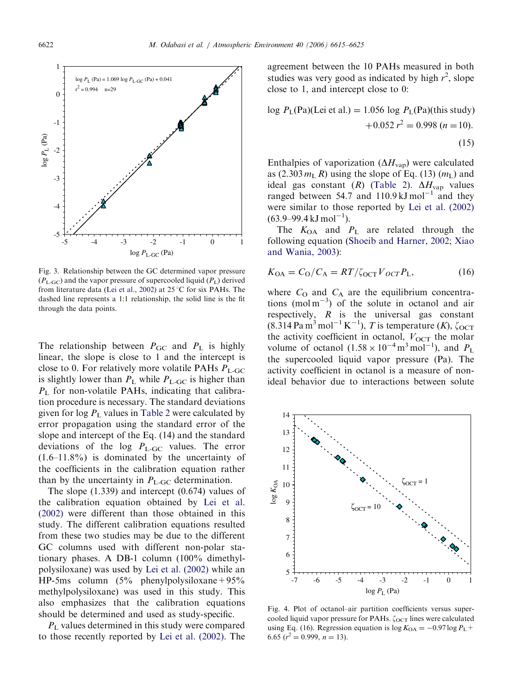<span id="page-7-0"></span>

Fig. 3. Relationship between the GC determined vapor pressure  $(P_{\text{L-GC}})$  and the vapor pressure of supercooled liquid  $(P_{\text{L}})$  derived from literature data ([Lei et al., 2002\)](#page-10-0) at  $25^{\circ}$ C for six PAHs. The dashed line represents a 1:1 relationship, the solid line is the fit through the data points.

The relationship between  $P_{\text{GC}}$  and  $P_{\text{L}}$  is highly linear, the slope is close to 1 and the intercept is close to 0. For relatively more volatile PAHs  $P_{\text{L-GC}}$ is slightly lower than  $P_L$  while  $P_{L\text{-GC}}$  is higher than  $P_L$  for non-volatile PAHs, indicating that calibration procedure is necessary. The standard deviations given for  $\log P_L$  values in [Table 2](#page-6-0) were calculated by error propagation using the standard error of the slope and intercept of the Eq. (14) and the standard deviations of the log  $P_{\text{L-GC}}$  values. The error (1.6–11.8%) is dominated by the uncertainty of the coefficients in the calibration equation rather than by the uncertainty in  $P_{\text{L-GC}}$  determination.

The slope (1.339) and intercept (0.674) values of the calibration equation obtained by [Lei et al.](#page-10-0) [\(2002\)](#page-10-0) were different than those obtained in this study. The different calibration equations resulted from these two studies may be due to the different GC columns used with different non-polar stationary phases. A DB-1 column (100% dimethylpolysiloxane) was used by [Lei et al. \(2002\)](#page-10-0) while an HP-5ms column  $(5\%$  phenylpolysiloxane + 95% methylpolysiloxane) was used in this study. This also emphasizes that the calibration equations should be determined and used as study-specific.

 $P<sub>L</sub>$  values determined in this study were compared to those recently reported by [Lei et al. \(2002\).](#page-10-0) The agreement between the 10 PAHs measured in both studies was very good as indicated by high  $r^2$ , slope close to 1, and intercept close to 0:

log 
$$
P_L(Pa)
$$
(Lei et al.) = 1.056 log  $P_L(Pa)$ (this study)  
+0.052  $r^2$  = 0.998 (*n* = 10).  
(15)

Enthalpies of vaporization  $(\Delta H_{\text{van}})$  were calculated as  $(2.303 m<sub>L</sub> R)$  using the slope of Eq. (13)  $(m<sub>L</sub>)$  and ideal gas constant (R) ([Table 2\)](#page-6-0).  $\Delta H_{\text{vap}}$  values ranged between 54.7 and  $110.9 \text{ kJ} \text{ mol}^{-1}$  and they were similar to those reported by [Lei et al. \(2002\)](#page-10-0)  $(63.9 - 99.4 \text{ kJ mol}^{-1})$ .

The  $K_{OA}$  and  $P_L$  are related through the following equation [\(Shoeib and Harner, 2002;](#page-10-0) [Xiao](#page-10-0) [and Wania, 2003\)](#page-10-0):

$$
K_{\text{OA}} = C_{\text{O}}/C_{\text{A}} = RT/\zeta_{\text{OCT}} V_{\text{OCT}} P_{\text{L}},\tag{16}
$$

where  $C_O$  and  $C_A$  are the equilibrium concentrations (mol  $m^{-3}$ ) of the solute in octanol and air respectively,  $R$  is the universal gas constant  $(8.\overline{3}14 \text{ Pa m}^3 \text{ mol}^{-1} \text{ K}^{-1}), T$  is temperature  $(K)$ ,  $\zeta_{\text{OCT}}$ the activity coefficient in octanol,  $V_{\text{OCT}}$  the molar volume of octanol  $(1.58 \times 10^{-4} \text{ m}^3 \text{ mol}^{-1})$ , and  $P_L$ the supercooled liquid vapor pressure (Pa). The activity coefficient in octanol is a measure of nonideal behavior due to interactions between solute



Fig. 4. Plot of octanol–air partition coefficients versus supercooled liquid vapor pressure for PAHs.  $\zeta_{\text{OCT}}$  lines were calculated using Eq. (16). Regression equation is  $\log K_{OA} = -0.97 \log P_L +$ 6.65  $(r^2 = 0.999, n = 13)$ .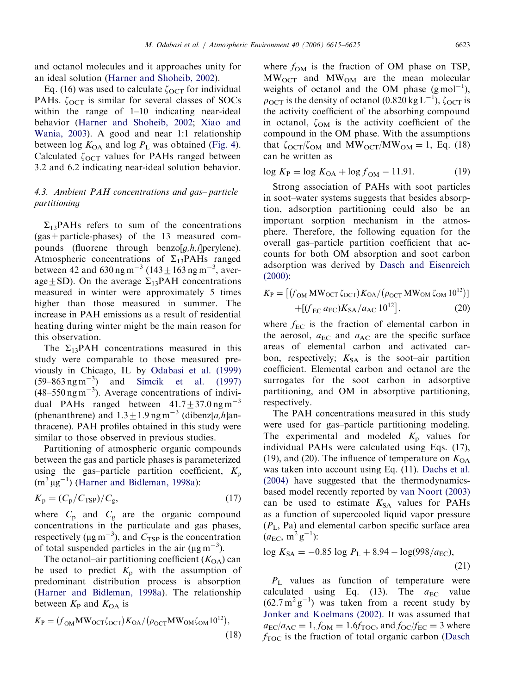and octanol molecules and it approaches unity for an ideal solution ([Harner and Shoheib, 2002\)](#page-9-0).

Eq. (16) was used to calculate  $\zeta_{\text{OCT}}$  for individual PAHs.  $\zeta_{\text{OCT}}$  is similar for several classes of SOCs within the range of 1–10 indicating near-ideal behavior ([Harner and Shoheib, 2002](#page-9-0); [Xiao and](#page-10-0) [Wania, 2003\)](#page-10-0). A good and near 1:1 relationship between log  $K_{OA}$  and log  $P_L$  was obtained ([Fig. 4](#page-7-0)). Calculated  $\zeta_{\text{OCT}}$  values for PAHs ranged between 3.2 and 6.2 indicating near-ideal solution behavior.

# 4.3. Ambient PAH concentrations and gas– particle partitioning

 $\Sigma_{13}$ PAHs refers to sum of the concentrations (gas+particle-phases) of the 13 measured compounds (fluorene through benzo $[g,h,i]$ perylene). Atmospheric concentrations of  $\Sigma_{13}$ PAHs ranged between 42 and 630 ng m<sup>-3</sup> (143  $\pm$  163 ng m<sup>-3</sup>, average+SD). On the average  $\Sigma_{13}$ PAH concentrations measured in winter were approximately 5 times higher than those measured in summer. The increase in PAH emissions as a result of residential heating during winter might be the main reason for this observation.

The  $\Sigma_{13}$ PAH concentrations measured in this study were comparable to those measured previously in Chicago, IL by [Odabasi et al. \(1999\)](#page-10-0)  $(59-863 \text{ ng m}^{-3})$  and Simcik et al.  $(1997)$  $(48-550 \text{ ng m}^{-3})$ . Average concentrations of individual PAHs ranged between  $41.7 \pm 37.0$  ng m<sup>-3</sup> (phenanthrene) and  $1.3 \pm 1.9$  ng m<sup>-3</sup> (dibenz[a,h]anthracene). PAH profiles obtained in this study were similar to those observed in previous studies.

Partitioning of atmospheric organic compounds between the gas and particle phases is parameterized using the gas–particle partition coefficient,  $K_p$  $(m^3 \mu g^{-1})$  ([Harner and Bidleman, 1998a\)](#page-9-0):

$$
K_{\rm p} = (C_{\rm p}/C_{\rm TSP})/C_{\rm g},\tag{17}
$$

where  $C_p$  and  $C_g$  are the organic compound concentrations in the particulate and gas phases, respectively ( $\mu$ g m<sup>-3</sup>), and  $C_{TSP}$  is the concentration of total suspended particles in the air ( $\mu$ g m<sup>-3</sup>).

The octanol–air partitioning coefficient  $(K<sub>OA</sub>)$  can be used to predict  $K_p$  with the assumption of predominant distribution process is absorption [\(Harner and Bidleman, 1998a](#page-9-0)). The relationship between  $K_{\rm P}$  and  $K_{\rm OA}$  is

$$
K_{\rm P} = (f_{\rm OM} M W_{\rm OCT} \zeta_{\rm OCT}) K_{\rm OA} / (\rho_{\rm OCT} M W_{\rm OM} \zeta_{\rm OM} 10^{12}),
$$
\n(18)

where  $f_{OM}$  is the fraction of OM phase on TSP,  $MW_{OCT}$  and  $MW_{OM}$  are the mean molecular weights of octanol and the OM phase  $(g \text{ mol}^{-1})$ ,  $\rho_{\text{OCT}}$  is the density of octanol (0.820 kg L<sup>-1</sup>),  $\zeta_{\text{OCT}}$  is the activity coefficient of the absorbing compound in octanol,  $\zeta_{OM}$  is the activity coefficient of the compound in the OM phase. With the assumptions that  $\zeta_{\text{OCT}}/\zeta_{\text{OM}}$  and  $\text{MW}_{\text{OCT}}/\text{MW}_{\text{OM}} = 1$ , Eq. (18) can be written as

$$
\log K_{\rm P} = \log K_{\rm OA} + \log f_{\rm OM} - 11.91. \tag{19}
$$

Strong association of PAHs with soot particles in soot–water systems suggests that besides absorption, adsorption partitioning could also be an important sorption mechanism in the atmosphere. Therefore, the following equation for the overall gas–particle partition coefficient that accounts for both OM absorption and soot carbon adsorption was derived by [Dasch and Eisenreich](#page-9-0) [\(2000\):](#page-9-0)

$$
K_{\rm P} = \left[ (f_{\rm OM} \, \text{MW}_{\text{OCT}} \zeta_{\text{OCT}}) K_{\text{OA}} / (\rho_{\text{OCT}} \, \text{MW}_{\text{OM}} \zeta_{\text{OM}} \, 10^{12}) \right] + \left[ (f_{\rm EC} \, a_{\rm EC}) K_{\text{SA}} / a_{\text{AC}} \, 10^{12} \right],\tag{20}
$$

where  $f_{EC}$  is the fraction of elemental carbon in the aerosol,  $a_{EC}$  and  $a_{AC}$  are the specific surface areas of elemental carbon and activated carbon, respectively;  $K_{SA}$  is the soot–air partition coefficient. Elemental carbon and octanol are the surrogates for the soot carbon in adsorptive partitioning, and OM in absorptive partitioning, respectively.

The PAH concentrations measured in this study were used for gas–particle partitioning modeling. The experimental and modeled  $K_p$  values for individual PAHs were calculated using Eqs. (17), (19), and (20). The influence of temperature on  $K_{OA}$ was taken into account using Eq. (11). [Dachs et al.](#page-9-0) [\(2004\)](#page-9-0) have suggested that the thermodynamicsbased model recently reported by [van Noort \(2003\)](#page-10-0) can be used to estimate  $K<sub>SA</sub>$  values for PAHs as a function of supercooled liquid vapor pressure  $(P_L, Pa)$  and elemental carbon specific surface area  $(a_{\text{EC}}, \text{m}^2 \text{g}^{-1})$ :

$$
\log K_{SA} = -0.85 \log P_{L} + 8.94 - \log(998/a_{EC}),\tag{21}
$$

 $P_{\text{L}}$  values as function of temperature were calculated using Eq. (13). The  $a_{EC}$  value  $(62.7 \text{ m}^2 \text{ g}^{-1})$  was taken from a recent study by [Jonker and Koelmans \(2002\)](#page-10-0). It was assumed that  $a_{\text{EC}}/a_{\text{AC}} = 1, f_{\text{OM}} = 1.6f_{\text{TOC}}$ , and  $f_{\text{OC}}/f_{\text{EC}} = 3$  where  $f_{\text{TOC}}$  is the fraction of total organic carbon [\(Dasch](#page-9-0)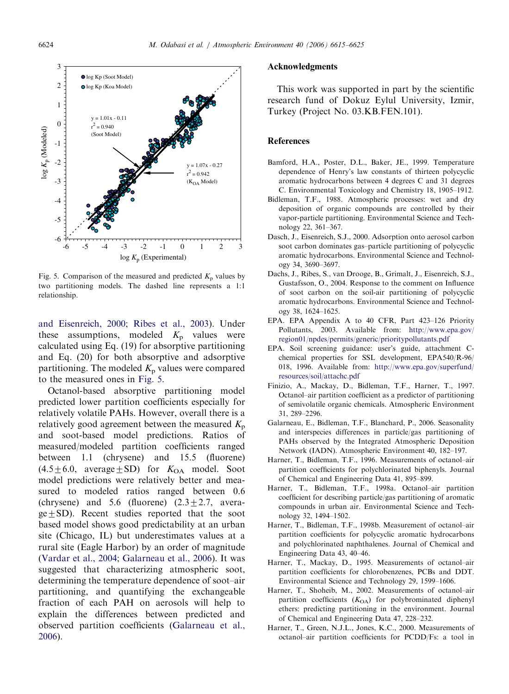<span id="page-9-0"></span>

Fig. 5. Comparison of the measured and predicted  $K_p$  values by two partitioning models. The dashed line represents a 1:1 relationship.

and Eisenreich, 2000; [Ribes et al., 2003](#page-10-0)). Under these assumptions, modeled  $K_p$  values were calculated using Eq. (19) for absorptive partitioning and Eq. (20) for both absorptive and adsorptive partitioning. The modeled  $K_p$  values were compared to the measured ones in Fig. 5.

Octanol-based absorptive partitioning model predicted lower partition coefficients especially for relatively volatile PAHs. However, overall there is a relatively good agreement between the measured  $K_p$ and soot-based model predictions. Ratios of measured/modeled partition coefficients ranged between 1.1 (chrysene) and 15.5 (fluorene)  $(4.5\pm6.0, \text{ average}\pm SD)$  for  $K_{OA}$  model. Soot model predictions were relatively better and measured to modeled ratios ranged between 0.6 (chrysene) and 5.6 (fluorene)  $(2.3 \pm 2.7,$  avera $ge+SD$ ). Recent studies reported that the soot based model shows good predictability at an urban site (Chicago, IL) but underestimates values at a rural site (Eagle Harbor) by an order of magnitude ([Vardar et al., 2004](#page-10-0); Galarneau et al., 2006). It was suggested that characterizing atmospheric soot, determining the temperature dependence of soot–air partitioning, and quantifying the exchangeable fraction of each PAH on aerosols will help to explain the differences between predicted and observed partition coefficients (Galarneau et al., 2006).

## Acknowledgments

This work was supported in part by the scientific research fund of Dokuz Eylul University, Izmir, Turkey (Project No. 03.KB.FEN.101).

## **References**

- Bamford, H.A., Poster, D.L., Baker, JE., 1999. Temperature dependence of Henry's law constants of thirteen polycyclic aromatic hydrocarbons between 4 degrees C and 31 degrees C. Environmental Toxicology and Chemistry 18, 1905–1912.
- Bidleman, T.F., 1988. Atmospheric processes: wet and dry deposition of organic compounds are controlled by their vapor-particle partitioning. Environmental Science and Technology 22, 361–367.
- Dasch, J., Eisenreich, S.J., 2000. Adsorption onto aerosol carbon soot carbon dominates gas–particle partitioning of polycyclic aromatic hydrocarbons. Environmental Science and Technology 34, 3690–3697.
- Dachs, J., Ribes, S., van Drooge, B., Grimalt, J., Eisenreich, S.J., Gustafsson, O., 2004. Response to the comment on Influence of soot carbon on the soil-air partitioning of polycyclic aromatic hydrocarbons. Environmental Science and Technology 38, 1624–1625.
- EPA. EPA Appendix A to 40 CFR, Part 423–126 Priority Pollutants, 2003. Available from: [http://www.epa.gov/](http://www.epa.gov/region01/npdes/permits/generic/prioritypollutants.pdf) [region01/npdes/permits/generic/prioritypollutants.pdf](http://www.epa.gov/region01/npdes/permits/generic/prioritypollutants.pdf)
- EPA. Soil screening guidance: user's guide, attachment Cchemical properties for SSL development, EPA540/R-96/ 018, 1996. Available from: [http://www.epa.gov/superfund/](http://www.epa.gov/superfund/resources/soil/attachc.pdf) [resources/soil/attachc.pdf](http://www.epa.gov/superfund/resources/soil/attachc.pdf)
- Finizio, A., Mackay, D., Bidleman, T.F., Harner, T., 1997. Octanol–air partition coefficient as a predictor of partitioning of semivolatile organic chemicals. Atmospheric Environment 31, 289–2296.
- Galarneau, E., Bidleman, T.F., Blanchard, P., 2006. Seasonality and interspecies differences in particle/gas partitioning of PAHs observed by the Integrated Atmospheric Deposition Network (IADN). Atmospheric Environment 40, 182–197.
- Harner, T., Bidleman, T.F., 1996. Measurements of octanol–air partition coefficients for polychlorinated biphenyls. Journal of Chemical and Engineering Data 41, 895–899.
- Harner, T., Bidleman, T.F., 1998a. Octanol–air partition coefficient for describing particle/gas partitioning of aromatic compounds in urban air. Environmental Science and Technology 32, 1494–1502.
- Harner, T., Bidleman, T.F., 1998b. Measurement of octanol–air partition coefficients for polycyclic aromatic hydrocarbons and polychlorinated naphthalenes. Journal of Chemical and Engineering Data 43, 40–46.
- Harner, T., Mackay, D., 1995. Measurements of octanol–air partition coefficients for chlorobenzenes, PCBs and DDT. Environmental Science and Technology 29, 1599–1606.
- Harner, T., Shoheib, M., 2002. Measurements of octanol–air partition coefficients  $(K<sub>OA</sub>)$  for polybrominated diphenyl ethers: predicting partitioning in the environment. Journal of Chemical and Engineering Data 47, 228–232.
- Harner, T., Green, N.J.L., Jones, K.C., 2000. Measurements of octanol–air partition coefficients for PCDD/Fs: a tool in